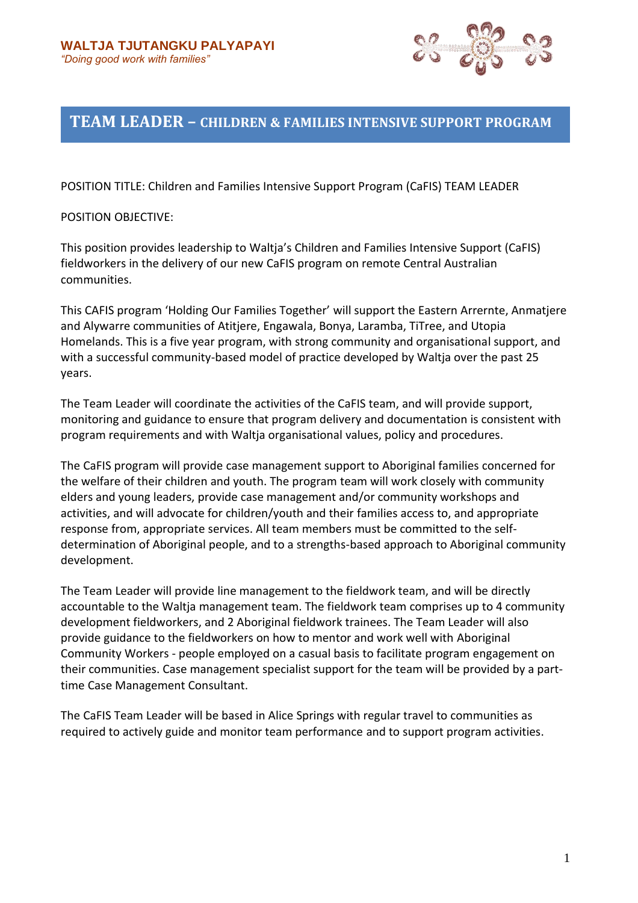

# **TEAM LEADER – CHILDREN & FAMILIES INTENSIVE SUPPORT PROGRAM**

POSITION TITLE: Children and Families Intensive Support Program (CaFIS) TEAM LEADER

#### POSITION OBJECTIVE:

This position provides leadership to Waltja's Children and Families Intensive Support (CaFIS) fieldworkers in the delivery of our new CaFIS program on remote Central Australian communities.

This CAFIS program 'Holding Our Families Together' will support the Eastern Arrernte, Anmatjere and Alywarre communities of Atitjere, Engawala, Bonya, Laramba, TiTree, and Utopia Homelands. This is a five year program, with strong community and organisational support, and with a successful community-based model of practice developed by Waltja over the past 25 years.

The Team Leader will coordinate the activities of the CaFIS team, and will provide support, monitoring and guidance to ensure that program delivery and documentation is consistent with program requirements and with Waltja organisational values, policy and procedures.

The CaFIS program will provide case management support to Aboriginal families concerned for the welfare of their children and youth. The program team will work closely with community elders and young leaders, provide case management and/or community workshops and activities, and will advocate for children/youth and their families access to, and appropriate response from, appropriate services. All team members must be committed to the selfdetermination of Aboriginal people, and to a strengths-based approach to Aboriginal community development.

The Team Leader will provide line management to the fieldwork team, and will be directly accountable to the Waltja management team. The fieldwork team comprises up to 4 community development fieldworkers, and 2 Aboriginal fieldwork trainees. The Team Leader will also provide guidance to the fieldworkers on how to mentor and work well with Aboriginal Community Workers - people employed on a casual basis to facilitate program engagement on their communities. Case management specialist support for the team will be provided by a parttime Case Management Consultant.

The CaFIS Team Leader will be based in Alice Springs with regular travel to communities as required to actively guide and monitor team performance and to support program activities.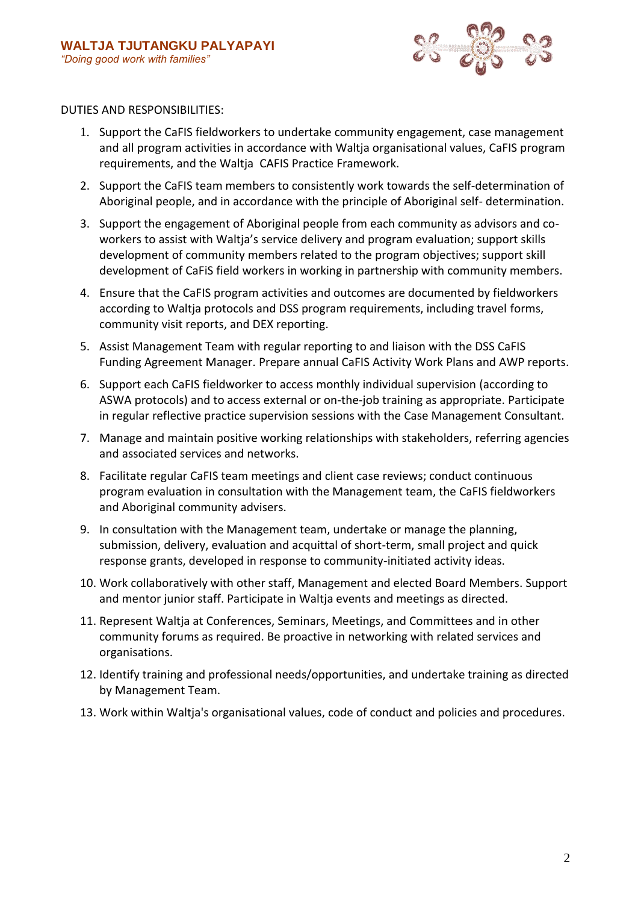

#### DUTIES AND RESPONSIBILITIES:

- 1. Support the CaFIS fieldworkers to undertake community engagement, case management and all program activities in accordance with Waltja organisational values, CaFIS program requirements, and the Waltja CAFIS Practice Framework.
- 2. Support the CaFIS team members to consistently work towards the self-determination of Aboriginal people, and in accordance with the principle of Aboriginal self- determination.
- 3. Support the engagement of Aboriginal people from each community as advisors and coworkers to assist with Waltja's service delivery and program evaluation; support skills development of community members related to the program objectives; support skill development of CaFiS field workers in working in partnership with community members.
- 4. Ensure that the CaFIS program activities and outcomes are documented by fieldworkers according to Waltja protocols and DSS program requirements, including travel forms, community visit reports, and DEX reporting.
- 5. Assist Management Team with regular reporting to and liaison with the DSS CaFIS Funding Agreement Manager. Prepare annual CaFIS Activity Work Plans and AWP reports.
- 6. Support each CaFIS fieldworker to access monthly individual supervision (according to ASWA protocols) and to access external or on-the-job training as appropriate. Participate in regular reflective practice supervision sessions with the Case Management Consultant.
- 7. Manage and maintain positive working relationships with stakeholders, referring agencies and associated services and networks.
- 8. Facilitate regular CaFIS team meetings and client case reviews; conduct continuous program evaluation in consultation with the Management team, the CaFIS fieldworkers and Aboriginal community advisers.
- 9. In consultation with the Management team, undertake or manage the planning, submission, delivery, evaluation and acquittal of short-term, small project and quick response grants, developed in response to community-initiated activity ideas.
- 10. Work collaboratively with other staff, Management and elected Board Members. Support and mentor junior staff. Participate in Waltja events and meetings as directed.
- 11. Represent Waltja at Conferences, Seminars, Meetings, and Committees and in other community forums as required. Be proactive in networking with related services and organisations.
- 12. Identify training and professional needs/opportunities, and undertake training as directed by Management Team.
- 13. Work within Waltja's organisational values, code of conduct and policies and procedures.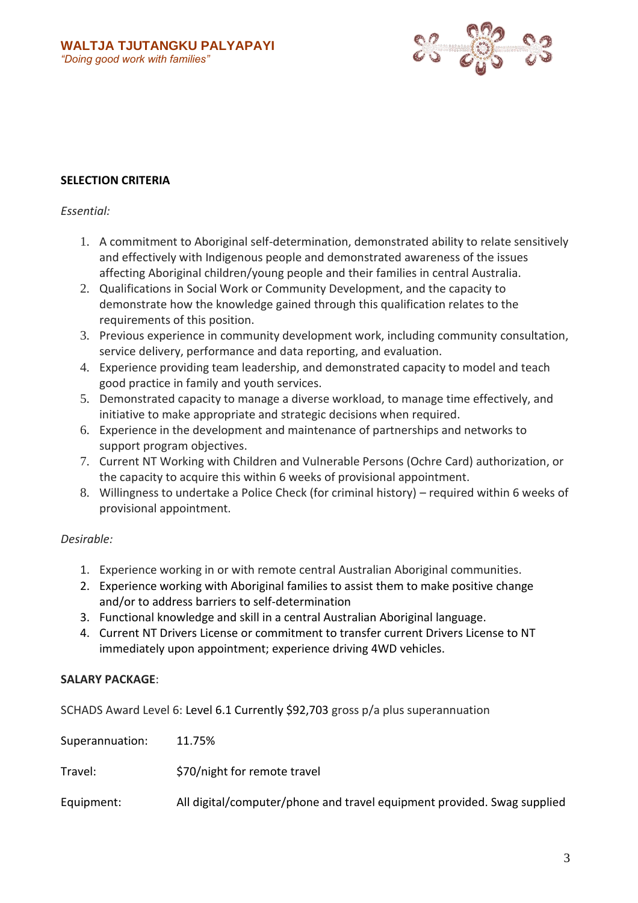

# **SELECTION CRITERIA**

### *Essential:*

- 1. A commitment to Aboriginal self-determination, demonstrated ability to relate sensitively and effectively with Indigenous people and demonstrated awareness of the issues affecting Aboriginal children/young people and their families in central Australia.
- 2. Qualifications in Social Work or Community Development, and the capacity to demonstrate how the knowledge gained through this qualification relates to the requirements of this position.
- 3. Previous experience in community development work, including community consultation, service delivery, performance and data reporting, and evaluation.
- 4. Experience providing team leadership, and demonstrated capacity to model and teach good practice in family and youth services.
- 5. Demonstrated capacity to manage a diverse workload, to manage time effectively, and initiative to make appropriate and strategic decisions when required.
- 6. Experience in the development and maintenance of partnerships and networks to support program objectives.
- 7. Current NT Working with Children and Vulnerable Persons (Ochre Card) authorization, or the capacity to acquire this within 6 weeks of provisional appointment.
- 8. Willingness to undertake a Police Check (for criminal history) required within 6 weeks of provisional appointment.

# *Desirable:*

- 1. Experience working in or with remote central Australian Aboriginal communities.
- 2. Experience working with Aboriginal families to assist them to make positive change and/or to address barriers to self-determination
- 3. Functional knowledge and skill in a central Australian Aboriginal language.
- 4. Current NT Drivers License or commitment to transfer current Drivers License to NT immediately upon appointment; experience driving 4WD vehicles.

#### **SALARY PACKAGE**:

SCHADS Award Level 6: Level 6.1 Currently \$92,703 gross p/a plus superannuation

| Superannuation: | 11.75%                                                                  |
|-----------------|-------------------------------------------------------------------------|
| Travel:         | \$70/night for remote travel                                            |
| Equipment:      | All digital/computer/phone and travel equipment provided. Swag supplied |